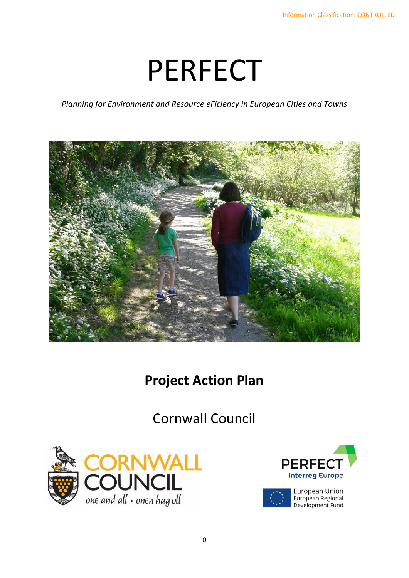# PERFECT

*Planning for Environment and Resource eFiciency in European Cities and Towns*



## **Project Action Plan**

Cornwall Council



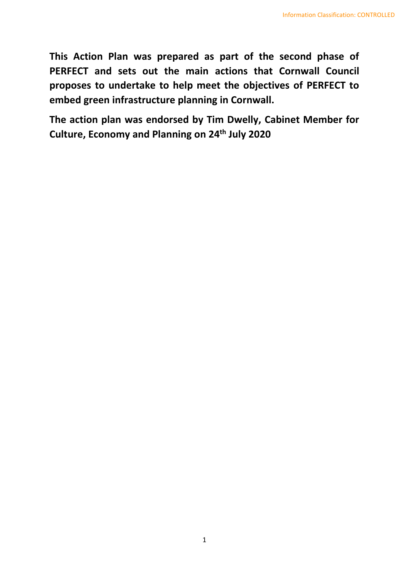**This Action Plan was prepared as part of the second phase of PERFECT and sets out the main actions that Cornwall Council proposes to undertake to help meet the objectives of PERFECT to embed green infrastructure planning in Cornwall.**

**The action plan was endorsed by Tim Dwelly, Cabinet Member for Culture, Economy and Planning on 24th July 2020**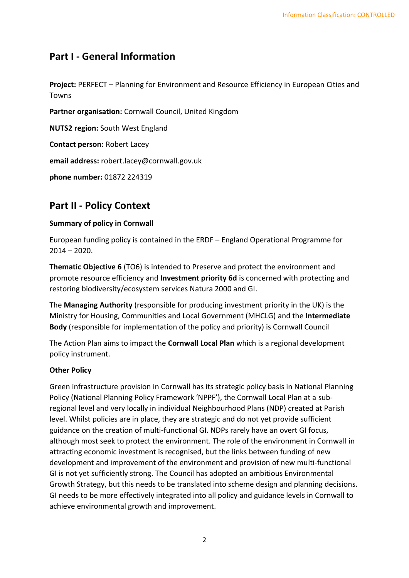## **Part I - General Information**

**Project:** PERFECT – Planning for Environment and Resource Efficiency in European Cities and Towns

**Partner organisation:** Cornwall Council, United Kingdom **NUTS2 region:** South West England

**Contact person:** Robert Lacey

**email address:** robert.lacey@cornwall.gov.uk

**phone number:** 01872 224319

### **Part II - Policy Context**

#### **Summary of policy in Cornwall**

European funding policy is contained in the ERDF – England Operational Programme for  $2014 - 2020$ .

**Thematic Objective 6** (TO6) is intended to Preserve and protect the environment and promote resource efficiency and **Investment priority 6d** is concerned with protecting and restoring biodiversity/ecosystem services Natura 2000 and GI.

The **Managing Authority** (responsible for producing investment priority in the UK) is the Ministry for Housing, Communities and Local Government (MHCLG) and the **Intermediate Body** (responsible for implementation of the policy and priority) is Cornwall Council

The Action Plan aims to impact the **Cornwall Local Plan** which is a regional development policy instrument.

#### **Other Policy**

Green infrastructure provision in Cornwall has its strategic policy basis in National Planning Policy (National Planning Policy Framework 'NPPF'), the Cornwall Local Plan at a subregional level and very locally in individual Neighbourhood Plans (NDP) created at Parish level. Whilst policies are in place, they are strategic and do not yet provide sufficient guidance on the creation of multi-functional GI. NDPs rarely have an overt GI focus, although most seek to protect the environment. The role of the environment in Cornwall in attracting economic investment is recognised, but the links between funding of new development and improvement of the environment and provision of new multi-functional GI is not yet sufficiently strong. The Council has adopted an ambitious Environmental Growth Strategy, but this needs to be translated into scheme design and planning decisions. GI needs to be more effectively integrated into all policy and guidance levels in Cornwall to achieve environmental growth and improvement.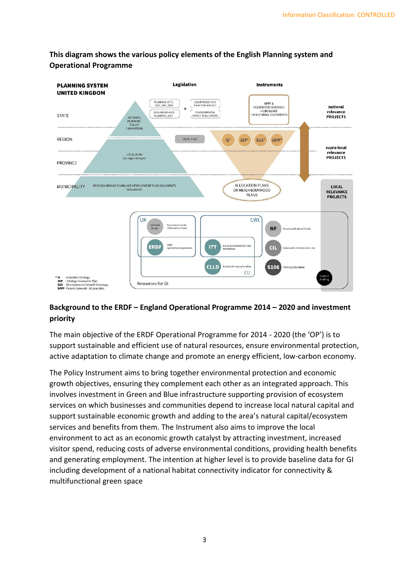

#### **This diagram shows the various policy elements of the English Planning system and Operational Programme**

#### **Background to the ERDF – England Operational Programme 2014 – 2020 and investment priority**

The main objective of the ERDF Operational Programme for 2014 - 2020 (the 'OP') is to support sustainable and efficient use of natural resources, ensure environmental protection, active adaptation to climate change and promote an energy efficient, low-carbon economy.

The Policy Instrument aims to bring together environmental protection and economic growth objectives, ensuring they complement each other as an integrated approach. This involves investment in Green and Blue infrastructure supporting provision of ecosystem services on which businesses and communities depend to increase local natural capital and support sustainable economic growth and adding to the area's natural capital/ecosystem services and benefits from them. The Instrument also aims to improve the local environment to act as an economic growth catalyst by attracting investment, increased visitor spend, reducing costs of adverse environmental conditions, providing health benefits and generating employment. The intention at higher level is to provide baseline data for GI including development of a national habitat connectivity indicator for connectivity & multifunctional green space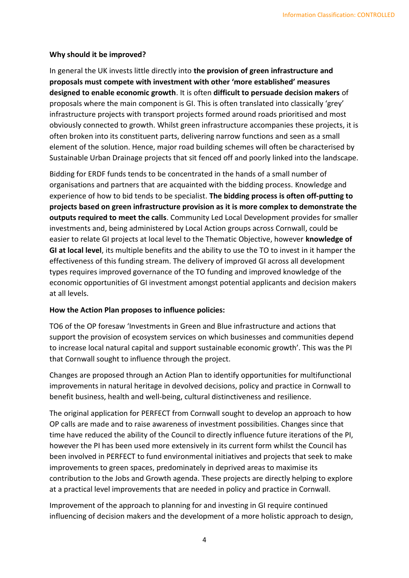#### **Why should it be improved?**

In general the UK invests little directly into **the provision of green infrastructure and proposals must compete with investment with other 'more established' measures designed to enable economic growth**. It is often **difficult to persuade decision makers** of proposals where the main component is GI. This is often translated into classically 'grey' infrastructure projects with transport projects formed around roads prioritised and most obviously connected to growth. Whilst green infrastructure accompanies these projects, it is often broken into its constituent parts, delivering narrow functions and seen as a small element of the solution. Hence, major road building schemes will often be characterised by Sustainable Urban Drainage projects that sit fenced off and poorly linked into the landscape.

Bidding for ERDF funds tends to be concentrated in the hands of a small number of organisations and partners that are acquainted with the bidding process. Knowledge and experience of how to bid tends to be specialist. **The bidding process is often off-putting to projects based on green infrastructure provision as it is more complex to demonstrate the outputs required to meet the calls**. Community Led Local Development provides for smaller investments and, being administered by Local Action groups across Cornwall, could be easier to relate GI projects at local level to the Thematic Objective, however **knowledge of GI at local level**, its multiple benefits and the ability to use the TO to invest in it hamper the effectiveness of this funding stream. The delivery of improved GI across all development types requires improved governance of the TO funding and improved knowledge of the economic opportunities of GI investment amongst potential applicants and decision makers at all levels.

#### **How the Action Plan proposes to influence policies:**

TO6 of the OP foresaw 'Investments in Green and Blue infrastructure and actions that support the provision of ecosystem services on which businesses and communities depend to increase local natural capital and support sustainable economic growth'. This was the PI that Cornwall sought to influence through the project.

Changes are proposed through an Action Plan to identify opportunities for multifunctional improvements in natural heritage in devolved decisions, policy and practice in Cornwall to benefit business, health and well-being, cultural distinctiveness and resilience.

The original application for PERFECT from Cornwall sought to develop an approach to how OP calls are made and to raise awareness of investment possibilities. Changes since that time have reduced the ability of the Council to directly influence future iterations of the PI, however the PI has been used more extensively in its current form whilst the Council has been involved in PERFECT to fund environmental initiatives and projects that seek to make improvements to green spaces, predominately in deprived areas to maximise its contribution to the Jobs and Growth agenda. These projects are directly helping to explore at a practical level improvements that are needed in policy and practice in Cornwall.

Improvement of the approach to planning for and investing in GI require continued influencing of decision makers and the development of a more holistic approach to design,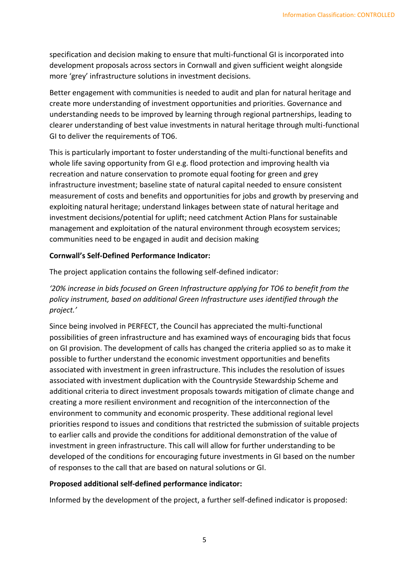specification and decision making to ensure that multi-functional GI is incorporated into development proposals across sectors in Cornwall and given sufficient weight alongside more 'grey' infrastructure solutions in investment decisions.

Better engagement with communities is needed to audit and plan for natural heritage and create more understanding of investment opportunities and priorities. Governance and understanding needs to be improved by learning through regional partnerships, leading to clearer understanding of best value investments in natural heritage through multi-functional GI to deliver the requirements of TO6.

This is particularly important to foster understanding of the multi-functional benefits and whole life saving opportunity from GI e.g. flood protection and improving health via recreation and nature conservation to promote equal footing for green and grey infrastructure investment; baseline state of natural capital needed to ensure consistent measurement of costs and benefits and opportunities for jobs and growth by preserving and exploiting natural heritage; understand linkages between state of natural heritage and investment decisions/potential for uplift; need catchment Action Plans for sustainable management and exploitation of the natural environment through ecosystem services; communities need to be engaged in audit and decision making

#### **Cornwall's Self-Defined Performance Indicator:**

The project application contains the following self-defined indicator:

#### *'20% increase in bids focused on Green Infrastructure applying for TO6 to benefit from the policy instrument, based on additional Green Infrastructure uses identified through the project.'*

Since being involved in PERFECT, the Council has appreciated the multi-functional possibilities of green infrastructure and has examined ways of encouraging bids that focus on GI provision. The development of calls has changed the criteria applied so as to make it possible to further understand the economic investment opportunities and benefits associated with investment in green infrastructure. This includes the resolution of issues associated with investment duplication with the Countryside Stewardship Scheme and additional criteria to direct investment proposals towards mitigation of climate change and creating a more resilient environment and recognition of the interconnection of the environment to community and economic prosperity. These additional regional level priorities respond to issues and conditions that restricted the submission of suitable projects to earlier calls and provide the conditions for additional demonstration of the value of investment in green infrastructure. This call will allow for further understanding to be developed of the conditions for encouraging future investments in GI based on the number of responses to the call that are based on natural solutions or GI.

#### **Proposed additional self-defined performance indicator:**

Informed by the development of the project, a further self-defined indicator is proposed: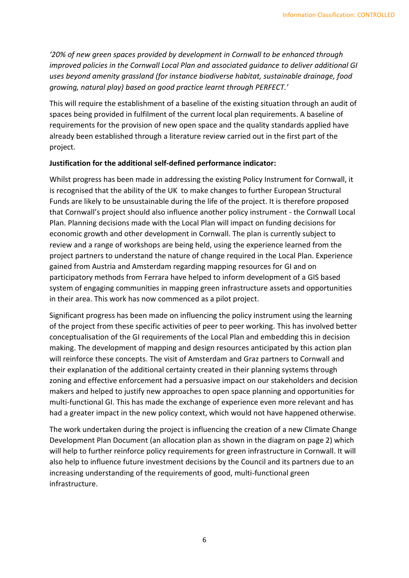*'20% of new green spaces provided by development in Cornwall to be enhanced through improved policies in the Cornwall Local Plan and associated guidance to deliver additional GI uses beyond amenity grassland (for instance biodiverse habitat, sustainable drainage, food growing, natural play) based on good practice learnt through PERFECT.'*

This will require the establishment of a baseline of the existing situation through an audit of spaces being provided in fulfilment of the current local plan requirements. A baseline of requirements for the provision of new open space and the quality standards applied have already been established through a literature review carried out in the first part of the project.

#### **Justification for the additional self-defined performance indicator:**

Whilst progress has been made in addressing the existing Policy Instrument for Cornwall, it is recognised that the ability of the UK to make changes to further European Structural Funds are likely to be unsustainable during the life of the project. It is therefore proposed that Cornwall's project should also influence another policy instrument - the Cornwall Local Plan. Planning decisions made with the Local Plan will impact on funding decisions for economic growth and other development in Cornwall. The plan is currently subject to review and a range of workshops are being held, using the experience learned from the project partners to understand the nature of change required in the Local Plan. Experience gained from Austria and Amsterdam regarding mapping resources for GI and on participatory methods from Ferrara have helped to inform development of a GIS based system of engaging communities in mapping green infrastructure assets and opportunities in their area. This work has now commenced as a pilot project.

Significant progress has been made on influencing the policy instrument using the learning of the project from these specific activities of peer to peer working. This has involved better conceptualisation of the GI requirements of the Local Plan and embedding this in decision making. The development of mapping and design resources anticipated by this action plan will reinforce these concepts. The visit of Amsterdam and Graz partners to Cornwall and their explanation of the additional certainty created in their planning systems through zoning and effective enforcement had a persuasive impact on our stakeholders and decision makers and helped to justify new approaches to open space planning and opportunities for multi-functional GI. This has made the exchange of experience even more relevant and has had a greater impact in the new policy context, which would not have happened otherwise.

The work undertaken during the project is influencing the creation of a new Climate Change Development Plan Document (an allocation plan as shown in the diagram on page 2) which will help to further reinforce policy requirements for green infrastructure in Cornwall. It will also help to influence future investment decisions by the Council and its partners due to an increasing understanding of the requirements of good, multi-functional green infrastructure.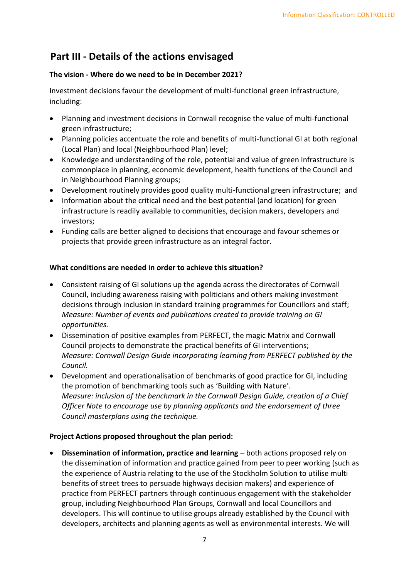## **Part III - Details of the actions envisaged**

#### **The vision - Where do we need to be in December 2021?**

Investment decisions favour the development of multi-functional green infrastructure, including:

- Planning and investment decisions in Cornwall recognise the value of multi-functional green infrastructure;
- Planning policies accentuate the role and benefits of multi-functional GI at both regional (Local Plan) and local (Neighbourhood Plan) level;
- Knowledge and understanding of the role, potential and value of green infrastructure is commonplace in planning, economic development, health functions of the Council and in Neighbourhood Planning groups;
- Development routinely provides good quality multi-functional green infrastructure; and
- Information about the critical need and the best potential (and location) for green infrastructure is readily available to communities, decision makers, developers and investors;
- Funding calls are better aligned to decisions that encourage and favour schemes or projects that provide green infrastructure as an integral factor.

#### **What conditions are needed in order to achieve this situation?**

- Consistent raising of GI solutions up the agenda across the directorates of Cornwall Council, including awareness raising with politicians and others making investment decisions through inclusion in standard training programmes for Councillors and staff; *Measure: Number of events and publications created to provide training on GI opportunities.*
- Dissemination of positive examples from PERFECT, the magic Matrix and Cornwall Council projects to demonstrate the practical benefits of GI interventions; *Measure: Cornwall Design Guide incorporating learning from PERFECT published by the Council.*
- Development and operationalisation of benchmarks of good practice for GI, including the promotion of benchmarking tools such as 'Building with Nature'. *Measure: inclusion of the benchmark in the Cornwall Design Guide, creation of a Chief Officer Note to encourage use by planning applicants and the endorsement of three Council masterplans using the technique.*

#### **Project Actions proposed throughout the plan period:**

• **Dissemination of information, practice and learning** – both actions proposed rely on the dissemination of information and practice gained from peer to peer working (such as the experience of Austria relating to the use of the Stockholm Solution to utilise multi benefits of street trees to persuade highways decision makers) and experience of practice from PERFECT partners through continuous engagement with the stakeholder group, including Neighbourhood Plan Groups, Cornwall and local Councillors and developers. This will continue to utilise groups already established by the Council with developers, architects and planning agents as well as environmental interests. We will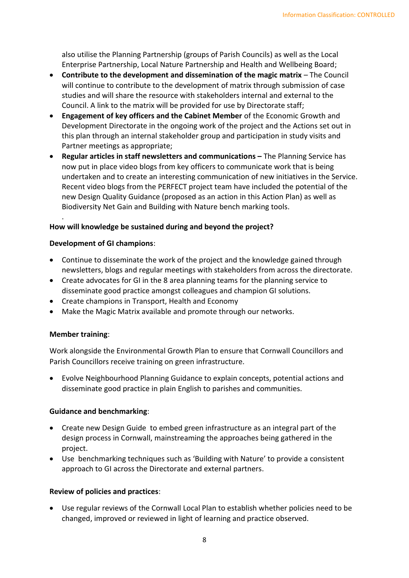also utilise the Planning Partnership (groups of Parish Councils) as well as the Local Enterprise Partnership, Local Nature Partnership and Health and Wellbeing Board;

- **Contribute to the development and dissemination of the magic matrix**  The Council will continue to contribute to the development of matrix through submission of case studies and will share the resource with stakeholders internal and external to the Council. A link to the matrix will be provided for use by Directorate staff;
- **Engagement of key officers and the Cabinet Member** of the Economic Growth and Development Directorate in the ongoing work of the project and the Actions set out in this plan through an internal stakeholder group and participation in study visits and Partner meetings as appropriate;
- **Regular articles in staff newsletters and communications The Planning Service has** now put in place video blogs from key officers to communicate work that is being undertaken and to create an interesting communication of new initiatives in the Service. Recent video blogs from the PERFECT project team have included the potential of the new Design Quality Guidance (proposed as an action in this Action Plan) as well as Biodiversity Net Gain and Building with Nature bench marking tools.

#### **How will knowledge be sustained during and beyond the project?**

#### **Development of GI champions**:

- Continue to disseminate the work of the project and the knowledge gained through newsletters, blogs and regular meetings with stakeholders from across the directorate.
- Create advocates for GI in the 8 area planning teams for the planning service to disseminate good practice amongst colleagues and champion GI solutions.
- Create champions in Transport, Health and Economy
- Make the Magic Matrix available and promote through our networks.

#### **Member training**:

.

Work alongside the Environmental Growth Plan to ensure that Cornwall Councillors and Parish Councillors receive training on green infrastructure.

• Evolve Neighbourhood Planning Guidance to explain concepts, potential actions and disseminate good practice in plain English to parishes and communities.

#### **Guidance and benchmarking**:

- Create new Design Guide to embed green infrastructure as an integral part of the design process in Cornwall, mainstreaming the approaches being gathered in the project.
- Use benchmarking techniques such as 'Building with Nature' to provide a consistent approach to GI across the Directorate and external partners.

#### **Review of policies and practices**:

• Use regular reviews of the Cornwall Local Plan to establish whether policies need to be changed, improved or reviewed in light of learning and practice observed.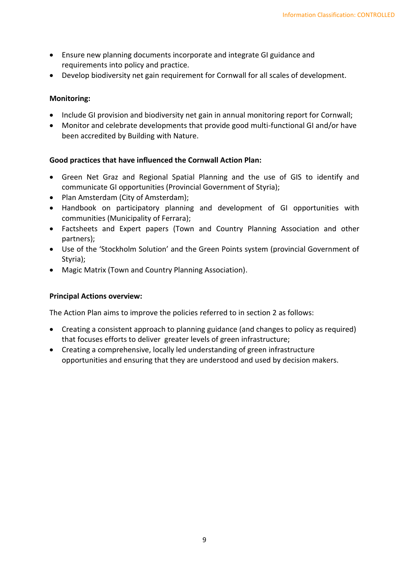- Ensure new planning documents incorporate and integrate GI guidance and requirements into policy and practice.
- Develop biodiversity net gain requirement for Cornwall for all scales of development.

#### **Monitoring:**

- Include GI provision and biodiversity net gain in annual monitoring report for Cornwall;
- Monitor and celebrate developments that provide good multi-functional GI and/or have been accredited by Building with Nature.

#### **Good practices that have influenced the Cornwall Action Plan:**

- Green Net Graz and Regional Spatial Planning and the use of GIS to identify and communicate GI opportunities (Provincial Government of Styria);
- Plan Amsterdam (City of Amsterdam);
- Handbook on participatory planning and development of GI opportunities with communities (Municipality of Ferrara);
- Factsheets and Expert papers (Town and Country Planning Association and other partners);
- Use of the 'Stockholm Solution' and the Green Points system (provincial Government of Styria);
- Magic Matrix (Town and Country Planning Association).

#### **Principal Actions overview:**

The Action Plan aims to improve the policies referred to in section 2 as follows:

- Creating a consistent approach to planning guidance (and changes to policy as required) that focuses efforts to deliver greater levels of green infrastructure;
- Creating a comprehensive, locally led understanding of green infrastructure opportunities and ensuring that they are understood and used by decision makers.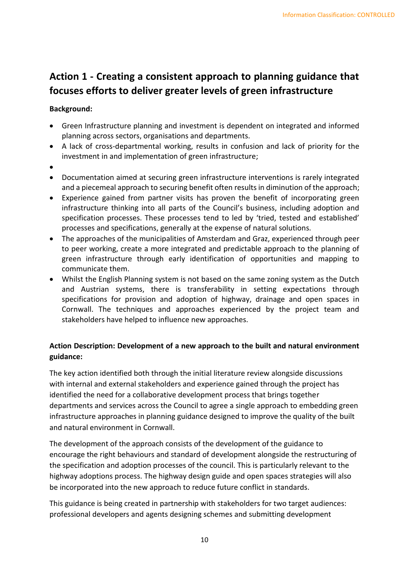## **Action 1 - Creating a consistent approach to planning guidance that focuses efforts to deliver greater levels of green infrastructure**

#### **Background:**

- Green Infrastructure planning and investment is dependent on integrated and informed planning across sectors, organisations and departments.
- A lack of cross-departmental working, results in confusion and lack of priority for the investment in and implementation of green infrastructure;
- •
- Documentation aimed at securing green infrastructure interventions is rarely integrated and a piecemeal approach to securing benefit often results in diminution of the approach;
- Experience gained from partner visits has proven the benefit of incorporating green infrastructure thinking into all parts of the Council's business, including adoption and specification processes. These processes tend to led by 'tried, tested and established' processes and specifications, generally at the expense of natural solutions.
- The approaches of the municipalities of Amsterdam and Graz, experienced through peer to peer working, create a more integrated and predictable approach to the planning of green infrastructure through early identification of opportunities and mapping to communicate them.
- Whilst the English Planning system is not based on the same zoning system as the Dutch and Austrian systems, there is transferability in setting expectations through specifications for provision and adoption of highway, drainage and open spaces in Cornwall. The techniques and approaches experienced by the project team and stakeholders have helped to influence new approaches.

#### **Action Description: Development of a new approach to the built and natural environment guidance:**

The key action identified both through the initial literature review alongside discussions with internal and external stakeholders and experience gained through the project has identified the need for a collaborative development process that brings together departments and services across the Council to agree a single approach to embedding green infrastructure approaches in planning guidance designed to improve the quality of the built and natural environment in Cornwall.

The development of the approach consists of the development of the guidance to encourage the right behaviours and standard of development alongside the restructuring of the specification and adoption processes of the council. This is particularly relevant to the highway adoptions process. The highway design guide and open spaces strategies will also be incorporated into the new approach to reduce future conflict in standards.

This guidance is being created in partnership with stakeholders for two target audiences: professional developers and agents designing schemes and submitting development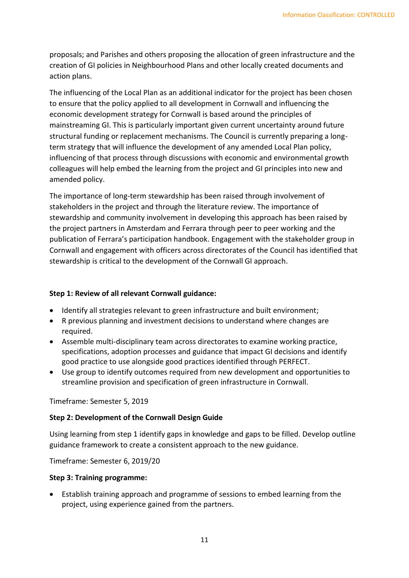proposals; and Parishes and others proposing the allocation of green infrastructure and the creation of GI policies in Neighbourhood Plans and other locally created documents and action plans.

The influencing of the Local Plan as an additional indicator for the project has been chosen to ensure that the policy applied to all development in Cornwall and influencing the economic development strategy for Cornwall is based around the principles of mainstreaming GI. This is particularly important given current uncertainty around future structural funding or replacement mechanisms. The Council is currently preparing a longterm strategy that will influence the development of any amended Local Plan policy, influencing of that process through discussions with economic and environmental growth colleagues will help embed the learning from the project and GI principles into new and amended policy.

The importance of long-term stewardship has been raised through involvement of stakeholders in the project and through the literature review. The importance of stewardship and community involvement in developing this approach has been raised by the project partners in Amsterdam and Ferrara through peer to peer working and the publication of Ferrara's participation handbook. Engagement with the stakeholder group in Cornwall and engagement with officers across directorates of the Council has identified that stewardship is critical to the development of the Cornwall GI approach.

#### **Step 1: Review of all relevant Cornwall guidance:**

- Identify all strategies relevant to green infrastructure and built environment;
- R previous planning and investment decisions to understand where changes are required.
- Assemble multi-disciplinary team across directorates to examine working practice, specifications, adoption processes and guidance that impact GI decisions and identify good practice to use alongside good practices identified through PERFECT.
- Use group to identify outcomes required from new development and opportunities to streamline provision and specification of green infrastructure in Cornwall.

#### Timeframe: Semester 5, 2019

#### **Step 2: Development of the Cornwall Design Guide**

Using learning from step 1 identify gaps in knowledge and gaps to be filled. Develop outline guidance framework to create a consistent approach to the new guidance.

Timeframe: Semester 6, 2019/20

#### **Step 3: Training programme:**

• Establish training approach and programme of sessions to embed learning from the project, using experience gained from the partners.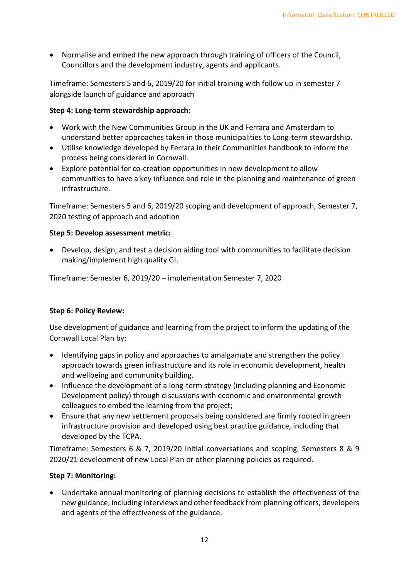• Normalise and embed the new approach through training of officers of the Council, Councillors and the development industry, agents and applicants.

Timeframe: Semesters 5 and 6, 2019/20 for initial training with follow up in semester 7 alongside launch of guidance and approach

#### **Step 4: Long-term stewardship approach:**

- Work with the New Communities Group in the UK and Ferrara and Amsterdam to understand better approaches taken in those municipalities to Long-term stewardship.
- Utilise knowledge developed by Ferrara in their Communities handbook to inform the process being considered in Cornwall.
- Explore potential for co-creation opportunities in new development to allow communities to have a key influence and role in the planning and maintenance of green infrastructure.

Timeframe: Semesters 5 and 6, 2019/20 scoping and development of approach, Semester 7, 2020 testing of approach and adoption

#### **Step 5: Develop assessment metric:**

• Develop, design, and test a decision aiding tool with communities to facilitate decision making/implement high quality GI.

Timeframe: Semester 6, 2019/20 – implementation Semester 7, 2020

#### **Step 6: Policy Review:**

Use development of guidance and learning from the project to inform the updating of the Cornwall Local Plan by:

- Identifying gaps in policy and approaches to amalgamate and strengthen the policy approach towards green infrastructure and its role in economic development, health and wellbeing and community building.
- Influence the development of a long-term strategy (including planning and Economic Development policy) through discussions with economic and environmental growth colleagues to embed the learning from the project;
- Ensure that any new settlement proposals being considered are firmly rooted in green infrastructure provision and developed using best practice guidance, including that developed by the TCPA.

Timeframe: Semesters 6 & 7, 2019/20 Initial conversations and scoping. Semesters 8 & 9 2020/21 development of new Local Plan or other planning policies as required.

#### **Step 7: Monitoring:**

• Undertake annual monitoring of planning decisions to establish the effectiveness of the new guidance, including interviews and other feedback from planning officers, developers and agents of the effectiveness of the guidance.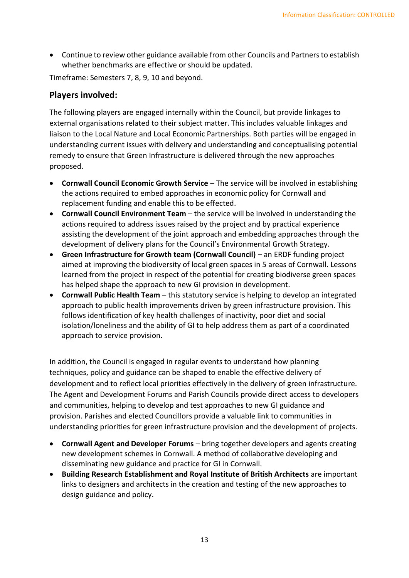• Continue to review other guidance available from other Councils and Partners to establish whether benchmarks are effective or should be updated.

Timeframe: Semesters 7, 8, 9, 10 and beyond.

#### **Players involved:**

The following players are engaged internally within the Council, but provide linkages to external organisations related to their subject matter. This includes valuable linkages and liaison to the Local Nature and Local Economic Partnerships. Both parties will be engaged in understanding current issues with delivery and understanding and conceptualising potential remedy to ensure that Green Infrastructure is delivered through the new approaches proposed.

- **Cornwall Council Economic Growth Service** The service will be involved in establishing the actions required to embed approaches in economic policy for Cornwall and replacement funding and enable this to be effected.
- **Cornwall Council Environment Team** the service will be involved in understanding the actions required to address issues raised by the project and by practical experience assisting the development of the joint approach and embedding approaches through the development of delivery plans for the Council's Environmental Growth Strategy.
- **Green Infrastructure for Growth team (Cornwall Council)** an ERDF funding project aimed at improving the biodiversity of local green spaces in 5 areas of Cornwall. Lessons learned from the project in respect of the potential for creating biodiverse green spaces has helped shape the approach to new GI provision in development.
- **Cornwall Public Health Team** this statutory service is helping to develop an integrated approach to public health improvements driven by green infrastructure provision. This follows identification of key health challenges of inactivity, poor diet and social isolation/loneliness and the ability of GI to help address them as part of a coordinated approach to service provision.

In addition, the Council is engaged in regular events to understand how planning techniques, policy and guidance can be shaped to enable the effective delivery of development and to reflect local priorities effectively in the delivery of green infrastructure. The Agent and Development Forums and Parish Councils provide direct access to developers and communities, helping to develop and test approaches to new GI guidance and provision. Parishes and elected Councillors provide a valuable link to communities in understanding priorities for green infrastructure provision and the development of projects.

- **Cornwall Agent and Developer Forums** bring together developers and agents creating new development schemes in Cornwall. A method of collaborative developing and disseminating new guidance and practice for GI in Cornwall.
- **Building Research Establishment and Royal Institute of British Architects** are important links to designers and architects in the creation and testing of the new approaches to design guidance and policy.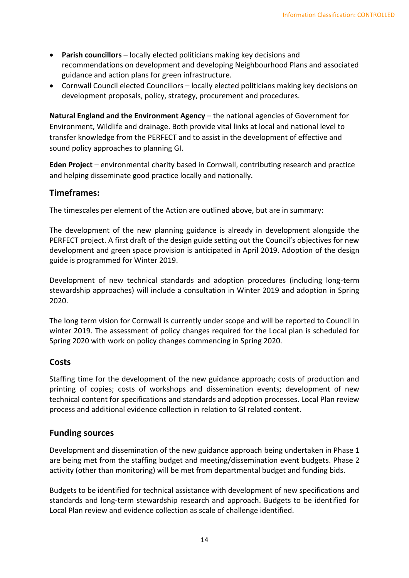- **Parish councillors** locally elected politicians making key decisions and recommendations on development and developing Neighbourhood Plans and associated guidance and action plans for green infrastructure.
- Cornwall Council elected Councillors locally elected politicians making key decisions on development proposals, policy, strategy, procurement and procedures.

**Natural England and the Environment Agency** – the national agencies of Government for Environment, Wildlife and drainage. Both provide vital links at local and national level to transfer knowledge from the PERFECT and to assist in the development of effective and sound policy approaches to planning GI.

**Eden Project** – environmental charity based in Cornwall, contributing research and practice and helping disseminate good practice locally and nationally.

#### **Timeframes:**

The timescales per element of the Action are outlined above, but are in summary:

The development of the new planning guidance is already in development alongside the PERFECT project. A first draft of the design guide setting out the Council's objectives for new development and green space provision is anticipated in April 2019. Adoption of the design guide is programmed for Winter 2019.

Development of new technical standards and adoption procedures (including long-term stewardship approaches) will include a consultation in Winter 2019 and adoption in Spring 2020.

The long term vision for Cornwall is currently under scope and will be reported to Council in winter 2019. The assessment of policy changes required for the Local plan is scheduled for Spring 2020 with work on policy changes commencing in Spring 2020.

#### **Costs**

Staffing time for the development of the new guidance approach; costs of production and printing of copies; costs of workshops and dissemination events; development of new technical content for specifications and standards and adoption processes. Local Plan review process and additional evidence collection in relation to GI related content.

#### **Funding sources**

Development and dissemination of the new guidance approach being undertaken in Phase 1 are being met from the staffing budget and meeting/dissemination event budgets. Phase 2 activity (other than monitoring) will be met from departmental budget and funding bids.

Budgets to be identified for technical assistance with development of new specifications and standards and long-term stewardship research and approach. Budgets to be identified for Local Plan review and evidence collection as scale of challenge identified.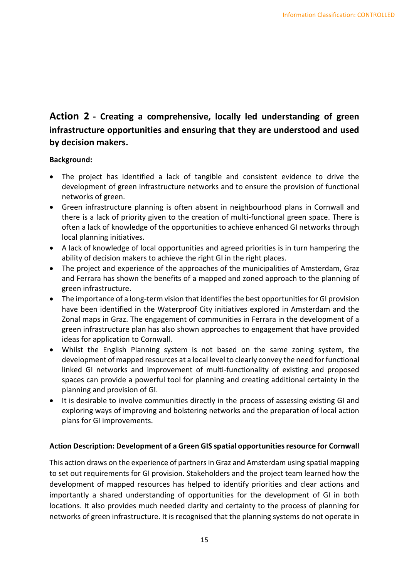## **Action 2 - Creating a comprehensive, locally led understanding of green infrastructure opportunities and ensuring that they are understood and used by decision makers.**

#### **Background:**

- The project has identified a lack of tangible and consistent evidence to drive the development of green infrastructure networks and to ensure the provision of functional networks of green.
- Green infrastructure planning is often absent in neighbourhood plans in Cornwall and there is a lack of priority given to the creation of multi-functional green space. There is often a lack of knowledge of the opportunities to achieve enhanced GI networks through local planning initiatives.
- A lack of knowledge of local opportunities and agreed priorities is in turn hampering the ability of decision makers to achieve the right GI in the right places.
- The project and experience of the approaches of the municipalities of Amsterdam, Graz and Ferrara has shown the benefits of a mapped and zoned approach to the planning of green infrastructure.
- The importance of a long-term vision that identifies the best opportunities for GI provision have been identified in the Waterproof City initiatives explored in Amsterdam and the Zonal maps in Graz. The engagement of communities in Ferrara in the development of a green infrastructure plan has also shown approaches to engagement that have provided ideas for application to Cornwall.
- Whilst the English Planning system is not based on the same zoning system, the development of mapped resources at a local level to clearly convey the need for functional linked GI networks and improvement of multi-functionality of existing and proposed spaces can provide a powerful tool for planning and creating additional certainty in the planning and provision of GI.
- It is desirable to involve communities directly in the process of assessing existing GI and exploring ways of improving and bolstering networks and the preparation of local action plans for GI improvements.

#### **Action Description: Development of a Green GIS spatial opportunities resource for Cornwall**

This action draws on the experience of partners in Graz and Amsterdam using spatial mapping to set out requirements for GI provision. Stakeholders and the project team learned how the development of mapped resources has helped to identify priorities and clear actions and importantly a shared understanding of opportunities for the development of GI in both locations. It also provides much needed clarity and certainty to the process of planning for networks of green infrastructure. It is recognised that the planning systems do not operate in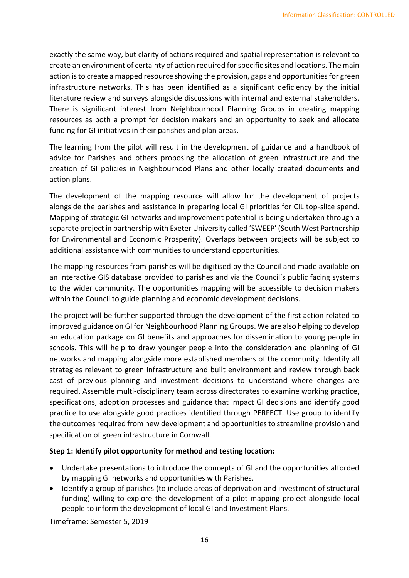exactly the same way, but clarity of actions required and spatial representation is relevant to create an environment of certainty of action required for specific sites and locations. The main action is to create a mapped resource showing the provision, gaps and opportunities for green infrastructure networks. This has been identified as a significant deficiency by the initial literature review and surveys alongside discussions with internal and external stakeholders. There is significant interest from Neighbourhood Planning Groups in creating mapping resources as both a prompt for decision makers and an opportunity to seek and allocate funding for GI initiatives in their parishes and plan areas.

The learning from the pilot will result in the development of guidance and a handbook of advice for Parishes and others proposing the allocation of green infrastructure and the creation of GI policies in Neighbourhood Plans and other locally created documents and action plans.

The development of the mapping resource will allow for the development of projects alongside the parishes and assistance in preparing local GI priorities for CIL top-slice spend. Mapping of strategic GI networks and improvement potential is being undertaken through a separate project in partnership with Exeter University called 'SWEEP' (South West Partnership for Environmental and Economic Prosperity). Overlaps between projects will be subject to additional assistance with communities to understand opportunities.

The mapping resources from parishes will be digitised by the Council and made available on an interactive GIS database provided to parishes and via the Council's public facing systems to the wider community. The opportunities mapping will be accessible to decision makers within the Council to guide planning and economic development decisions.

The project will be further supported through the development of the first action related to improved guidance on GI for Neighbourhood Planning Groups. We are also helping to develop an education package on GI benefits and approaches for dissemination to young people in schools. This will help to draw younger people into the consideration and planning of GI networks and mapping alongside more established members of the community. Identify all strategies relevant to green infrastructure and built environment and review through back cast of previous planning and investment decisions to understand where changes are required. Assemble multi-disciplinary team across directorates to examine working practice, specifications, adoption processes and guidance that impact GI decisions and identify good practice to use alongside good practices identified through PERFECT. Use group to identify the outcomes required from new development and opportunities to streamline provision and specification of green infrastructure in Cornwall.

#### **Step 1: Identify pilot opportunity for method and testing location:**

- Undertake presentations to introduce the concepts of GI and the opportunities afforded by mapping GI networks and opportunities with Parishes.
- Identify a group of parishes (to include areas of deprivation and investment of structural funding) willing to explore the development of a pilot mapping project alongside local people to inform the development of local GI and Investment Plans.

Timeframe: Semester 5, 2019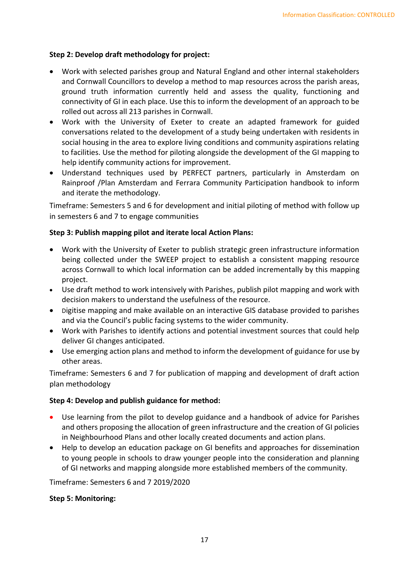#### **Step 2: Develop draft methodology for project:**

- Work with selected parishes group and Natural England and other internal stakeholders and Cornwall Councillors to develop a method to map resources across the parish areas, ground truth information currently held and assess the quality, functioning and connectivity of GI in each place. Use this to inform the development of an approach to be rolled out across all 213 parishes in Cornwall.
- Work with the University of Exeter to create an adapted framework for guided conversations related to the development of a study being undertaken with residents in social housing in the area to explore living conditions and community aspirations relating to facilities. Use the method for piloting alongside the development of the GI mapping to help identify community actions for improvement.
- Understand techniques used by PERFECT partners, particularly in Amsterdam on Rainproof /Plan Amsterdam and Ferrara Community Participation handbook to inform and iterate the methodology.

Timeframe: Semesters 5 and 6 for development and initial piloting of method with follow up in semesters 6 and 7 to engage communities

#### **Step 3: Publish mapping pilot and iterate local Action Plans:**

- Work with the University of Exeter to publish strategic green infrastructure information being collected under the SWEEP project to establish a consistent mapping resource across Cornwall to which local information can be added incrementally by this mapping project.
- Use draft method to work intensively with Parishes, publish pilot mapping and work with decision makers to understand the usefulness of the resource.
- Digitise mapping and make available on an interactive GIS database provided to parishes and via the Council's public facing systems to the wider community.
- Work with Parishes to identify actions and potential investment sources that could help deliver GI changes anticipated.
- Use emerging action plans and method to inform the development of guidance for use by other areas.

Timeframe: Semesters 6 and 7 for publication of mapping and development of draft action plan methodology

#### **Step 4: Develop and publish guidance for method:**

- Use learning from the pilot to develop guidance and a handbook of advice for Parishes and others proposing the allocation of green infrastructure and the creation of GI policies in Neighbourhood Plans and other locally created documents and action plans.
- Help to develop an education package on GI benefits and approaches for dissemination to young people in schools to draw younger people into the consideration and planning of GI networks and mapping alongside more established members of the community.

Timeframe: Semesters 6 and 7 2019/2020

#### **Step 5: Monitoring:**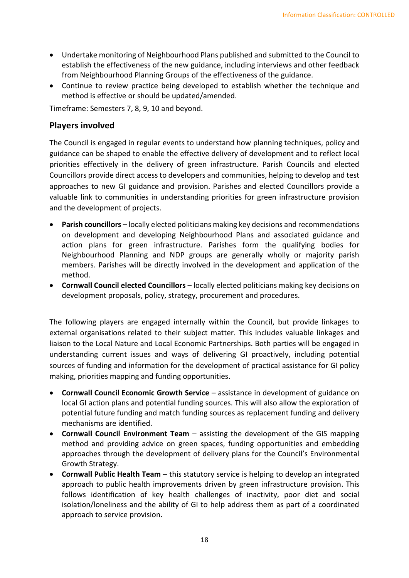- Undertake monitoring of Neighbourhood Plans published and submitted to the Council to establish the effectiveness of the new guidance, including interviews and other feedback from Neighbourhood Planning Groups of the effectiveness of the guidance.
- Continue to review practice being developed to establish whether the technique and method is effective or should be updated/amended.

Timeframe: Semesters 7, 8, 9, 10 and beyond.

#### **Players involved**

The Council is engaged in regular events to understand how planning techniques, policy and guidance can be shaped to enable the effective delivery of development and to reflect local priorities effectively in the delivery of green infrastructure. Parish Councils and elected Councillors provide direct access to developers and communities, helping to develop and test approaches to new GI guidance and provision. Parishes and elected Councillors provide a valuable link to communities in understanding priorities for green infrastructure provision and the development of projects.

- **Parish councillors** locally elected politicians making key decisions and recommendations on development and developing Neighbourhood Plans and associated guidance and action plans for green infrastructure. Parishes form the qualifying bodies for Neighbourhood Planning and NDP groups are generally wholly or majority parish members. Parishes will be directly involved in the development and application of the method.
- **Cornwall Council elected Councillors** locally elected politicians making key decisions on development proposals, policy, strategy, procurement and procedures.

The following players are engaged internally within the Council, but provide linkages to external organisations related to their subject matter. This includes valuable linkages and liaison to the Local Nature and Local Economic Partnerships. Both parties will be engaged in understanding current issues and ways of delivering GI proactively, including potential sources of funding and information for the development of practical assistance for GI policy making, priorities mapping and funding opportunities.

- **Cornwall Council Economic Growth Service** assistance in development of guidance on local GI action plans and potential funding sources. This will also allow the exploration of potential future funding and match funding sources as replacement funding and delivery mechanisms are identified.
- **Cornwall Council Environment Team** assisting the development of the GIS mapping method and providing advice on green spaces, funding opportunities and embedding approaches through the development of delivery plans for the Council's Environmental Growth Strategy.
- **Cornwall Public Health Team** this statutory service is helping to develop an integrated approach to public health improvements driven by green infrastructure provision. This follows identification of key health challenges of inactivity, poor diet and social isolation/loneliness and the ability of GI to help address them as part of a coordinated approach to service provision.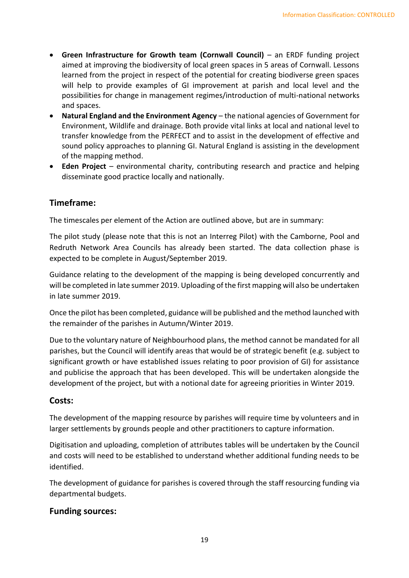- **Green Infrastructure for Growth team (Cornwall Council)** an ERDF funding project aimed at improving the biodiversity of local green spaces in 5 areas of Cornwall. Lessons learned from the project in respect of the potential for creating biodiverse green spaces will help to provide examples of GI improvement at parish and local level and the possibilities for change in management regimes/introduction of multi-national networks and spaces.
- **Natural England and the Environment Agency** the national agencies of Government for Environment, Wildlife and drainage. Both provide vital links at local and national level to transfer knowledge from the PERFECT and to assist in the development of effective and sound policy approaches to planning GI. Natural England is assisting in the development of the mapping method.
- **Eden Project** environmental charity, contributing research and practice and helping disseminate good practice locally and nationally.

#### **Timeframe:**

The timescales per element of the Action are outlined above, but are in summary:

The pilot study (please note that this is not an Interreg Pilot) with the Camborne, Pool and Redruth Network Area Councils has already been started. The data collection phase is expected to be complete in August/September 2019.

Guidance relating to the development of the mapping is being developed concurrently and will be completed in late summer 2019. Uploading of the first mapping will also be undertaken in late summer 2019.

Once the pilot has been completed, guidance will be published and the method launched with the remainder of the parishes in Autumn/Winter 2019.

Due to the voluntary nature of Neighbourhood plans, the method cannot be mandated for all parishes, but the Council will identify areas that would be of strategic benefit (e.g. subject to significant growth or have established issues relating to poor provision of GI) for assistance and publicise the approach that has been developed. This will be undertaken alongside the development of the project, but with a notional date for agreeing priorities in Winter 2019.

#### **Costs:**

The development of the mapping resource by parishes will require time by volunteers and in larger settlements by grounds people and other practitioners to capture information.

Digitisation and uploading, completion of attributes tables will be undertaken by the Council and costs will need to be established to understand whether additional funding needs to be identified.

The development of guidance for parishes is covered through the staff resourcing funding via departmental budgets.

#### **Funding sources:**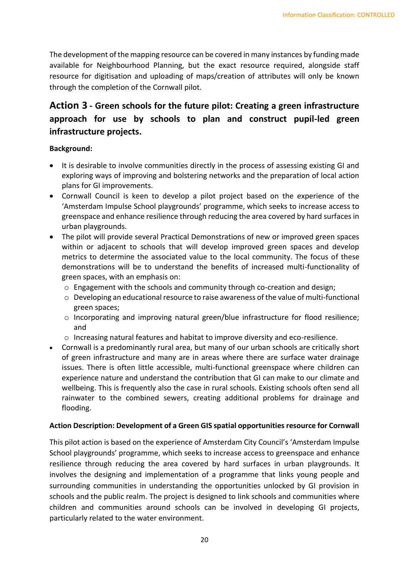The development of the mapping resource can be covered in many instances by funding made available for Neighbourhood Planning, but the exact resource required, alongside staff resource for digitisation and uploading of maps/creation of attributes will only be known through the completion of the Cornwall pilot.

## **Action 3 - Green schools for the future pilot: Creating a green infrastructure approach for use by schools to plan and construct pupil-led green infrastructure projects.**

#### **Background:**

- It is desirable to involve communities directly in the process of assessing existing GI and exploring ways of improving and bolstering networks and the preparation of local action plans for GI improvements.
- Cornwall Council is keen to develop a pilot project based on the experience of the 'Amsterdam Impulse School playgrounds' programme, which seeks to increase access to greenspace and enhance resilience through reducing the area covered by hard surfaces in urban playgrounds.
- The pilot will provide several Practical Demonstrations of new or improved green spaces within or adjacent to schools that will develop improved green spaces and develop metrics to determine the associated value to the local community. The focus of these demonstrations will be to understand the benefits of increased multi-functionality of green spaces, with an emphasis on:
	- $\circ$  Engagement with the schools and community through co-creation and design;
	- o Developing an educational resource to raise awareness of the value of multi-functional green spaces;
	- o Incorporating and improving natural green/blue infrastructure for flood resilience; and
	- o Increasing natural features and habitat to improve diversity and eco-resilience.
- Cornwall is a predominantly rural area, but many of our urban schools are critically short of green infrastructure and many are in areas where there are surface water drainage issues. There is often little accessible, multi-functional greenspace where children can experience nature and understand the contribution that GI can make to our climate and wellbeing. This is frequently also the case in rural schools. Existing schools often send all rainwater to the combined sewers, creating additional problems for drainage and flooding.

#### **Action Description: Development of a Green GIS spatial opportunities resource for Cornwall**

This pilot action is based on the experience of Amsterdam City Council's 'Amsterdam Impulse School playgrounds' programme, which seeks to increase access to greenspace and enhance resilience through reducing the area covered by hard surfaces in urban playgrounds. It involves the designing and implementation of a programme that links young people and surrounding communities in understanding the opportunities unlocked by GI provision in schools and the public realm. The project is designed to link schools and communities where children and communities around schools can be involved in developing GI projects, particularly related to the water environment.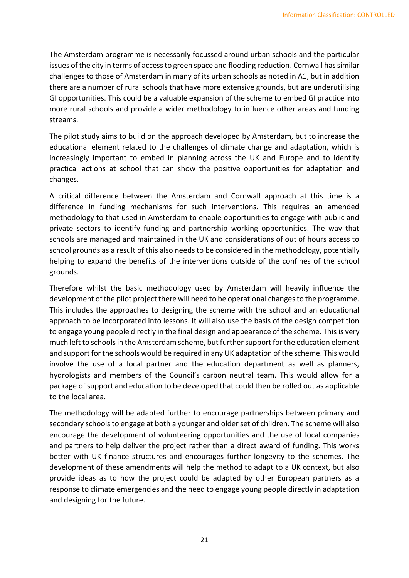The Amsterdam programme is necessarily focussed around urban schools and the particular issues of the city in terms of access to green space and flooding reduction. Cornwall has similar challenges to those of Amsterdam in many of its urban schools as noted in A1, but in addition there are a number of rural schools that have more extensive grounds, but are underutilising GI opportunities. This could be a valuable expansion of the scheme to embed GI practice into more rural schools and provide a wider methodology to influence other areas and funding streams.

The pilot study aims to build on the approach developed by Amsterdam, but to increase the educational element related to the challenges of climate change and adaptation, which is increasingly important to embed in planning across the UK and Europe and to identify practical actions at school that can show the positive opportunities for adaptation and changes.

A critical difference between the Amsterdam and Cornwall approach at this time is a difference in funding mechanisms for such interventions. This requires an amended methodology to that used in Amsterdam to enable opportunities to engage with public and private sectors to identify funding and partnership working opportunities. The way that schools are managed and maintained in the UK and considerations of out of hours access to school grounds as a result of this also needs to be considered in the methodology, potentially helping to expand the benefits of the interventions outside of the confines of the school grounds.

Therefore whilst the basic methodology used by Amsterdam will heavily influence the development of the pilot project there will need to be operational changes to the programme. This includes the approaches to designing the scheme with the school and an educational approach to be incorporated into lessons. It will also use the basis of the design competition to engage young people directly in the final design and appearance of the scheme. This is very much left to schools in the Amsterdam scheme, but further support for the education element and support for the schools would be required in any UK adaptation of the scheme. This would involve the use of a local partner and the education department as well as planners, hydrologists and members of the Council's carbon neutral team. This would allow for a package of support and education to be developed that could then be rolled out as applicable to the local area.

The methodology will be adapted further to encourage partnerships between primary and secondary schools to engage at both a younger and older set of children. The scheme will also encourage the development of volunteering opportunities and the use of local companies and partners to help deliver the project rather than a direct award of funding. This works better with UK finance structures and encourages further longevity to the schemes. The development of these amendments will help the method to adapt to a UK context, but also provide ideas as to how the project could be adapted by other European partners as a response to climate emergencies and the need to engage young people directly in adaptation and designing for the future.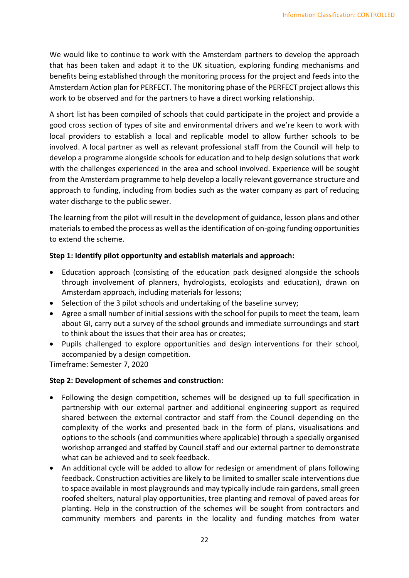We would like to continue to work with the Amsterdam partners to develop the approach that has been taken and adapt it to the UK situation, exploring funding mechanisms and benefits being established through the monitoring process for the project and feeds into the Amsterdam Action plan for PERFECT. The monitoring phase of the PERFECT project allows this work to be observed and for the partners to have a direct working relationship.

A short list has been compiled of schools that could participate in the project and provide a good cross section of types of site and environmental drivers and we're keen to work with local providers to establish a local and replicable model to allow further schools to be involved. A local partner as well as relevant professional staff from the Council will help to develop a programme alongside schools for education and to help design solutions that work with the challenges experienced in the area and school involved. Experience will be sought from the Amsterdam programme to help develop a locally relevant governance structure and approach to funding, including from bodies such as the water company as part of reducing water discharge to the public sewer.

The learning from the pilot will result in the development of guidance, lesson plans and other materials to embed the process as well as the identification of on-going funding opportunities to extend the scheme.

#### **Step 1: Identify pilot opportunity and establish materials and approach:**

- Education approach (consisting of the education pack designed alongside the schools through involvement of planners, hydrologists, ecologists and education), drawn on Amsterdam approach, including materials for lessons;
- Selection of the 3 pilot schools and undertaking of the baseline survey;
- Agree a small number of initial sessions with the school for pupils to meet the team, learn about GI, carry out a survey of the school grounds and immediate surroundings and start to think about the issues that their area has or creates;
- Pupils challenged to explore opportunities and design interventions for their school, accompanied by a design competition.

Timeframe: Semester 7, 2020

#### **Step 2: Development of schemes and construction:**

- Following the design competition, schemes will be designed up to full specification in partnership with our external partner and additional engineering support as required shared between the external contractor and staff from the Council depending on the complexity of the works and presented back in the form of plans, visualisations and options to the schools (and communities where applicable) through a specially organised workshop arranged and staffed by Council staff and our external partner to demonstrate what can be achieved and to seek feedback.
- An additional cycle will be added to allow for redesign or amendment of plans following feedback. Construction activities are likely to be limited to smaller scale interventions due to space available in most playgrounds and may typically include rain gardens, small green roofed shelters, natural play opportunities, tree planting and removal of paved areas for planting. Help in the construction of the schemes will be sought from contractors and community members and parents in the locality and funding matches from water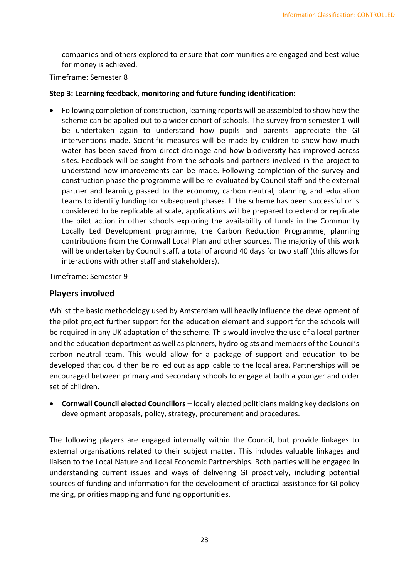companies and others explored to ensure that communities are engaged and best value for money is achieved.

Timeframe: Semester 8

#### **Step 3: Learning feedback, monitoring and future funding identification:**

• Following completion of construction, learning reports will be assembled to show how the scheme can be applied out to a wider cohort of schools. The survey from semester 1 will be undertaken again to understand how pupils and parents appreciate the GI interventions made. Scientific measures will be made by children to show how much water has been saved from direct drainage and how biodiversity has improved across sites. Feedback will be sought from the schools and partners involved in the project to understand how improvements can be made. Following completion of the survey and construction phase the programme will be re-evaluated by Council staff and the external partner and learning passed to the economy, carbon neutral, planning and education teams to identify funding for subsequent phases. If the scheme has been successful or is considered to be replicable at scale, applications will be prepared to extend or replicate the pilot action in other schools exploring the availability of funds in the Community Locally Led Development programme, the Carbon Reduction Programme, planning contributions from the Cornwall Local Plan and other sources. The majority of this work will be undertaken by Council staff, a total of around 40 days for two staff (this allows for interactions with other staff and stakeholders).

Timeframe: Semester 9

#### **Players involved**

Whilst the basic methodology used by Amsterdam will heavily influence the development of the pilot project further support for the education element and support for the schools will be required in any UK adaptation of the scheme. This would involve the use of a local partner and the education department as well as planners, hydrologists and members of the Council's carbon neutral team. This would allow for a package of support and education to be developed that could then be rolled out as applicable to the local area. Partnerships will be encouraged between primary and secondary schools to engage at both a younger and older set of children.

• **Cornwall Council elected Councillors** – locally elected politicians making key decisions on development proposals, policy, strategy, procurement and procedures.

The following players are engaged internally within the Council, but provide linkages to external organisations related to their subject matter. This includes valuable linkages and liaison to the Local Nature and Local Economic Partnerships. Both parties will be engaged in understanding current issues and ways of delivering GI proactively, including potential sources of funding and information for the development of practical assistance for GI policy making, priorities mapping and funding opportunities.